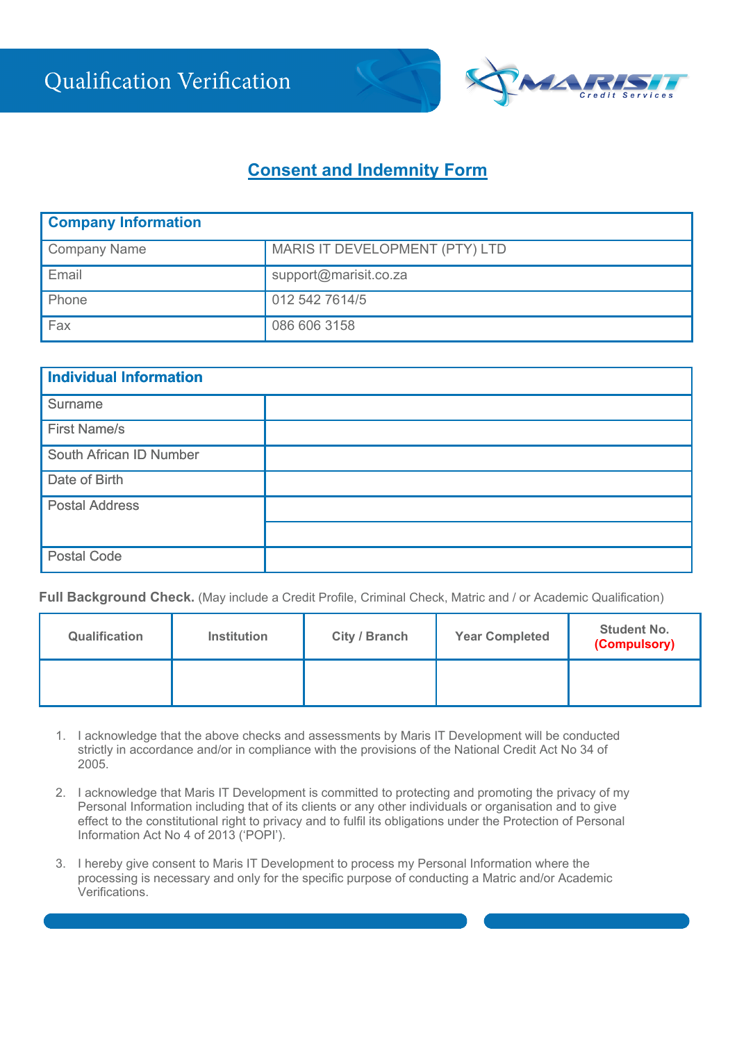

## **Consent and Indemnity Form**

| <b>Company Information</b> |                                |  |  |  |
|----------------------------|--------------------------------|--|--|--|
| Company Name               | MARIS IT DEVELOPMENT (PTY) LTD |  |  |  |
| Email                      | support@marisit.co.za          |  |  |  |
| Phone                      | 012 542 7614/5                 |  |  |  |
| Fax                        | 086 606 3158                   |  |  |  |

| Individual Information  |  |  |  |  |
|-------------------------|--|--|--|--|
| Surname                 |  |  |  |  |
| <b>First Name/s</b>     |  |  |  |  |
| South African ID Number |  |  |  |  |
| Date of Birth           |  |  |  |  |
| <b>Postal Address</b>   |  |  |  |  |
|                         |  |  |  |  |
| <b>Postal Code</b>      |  |  |  |  |

**Full Background Check.** (May include a Credit Profile, Criminal Check, Matric and / or Academic Qualification)

| <b>Qualification</b> | <b>Institution</b> | City / Branch | <b>Year Completed</b> | <b>Student No.</b><br>(Compulsory) |  |
|----------------------|--------------------|---------------|-----------------------|------------------------------------|--|
|                      |                    |               |                       |                                    |  |

- 1. I acknowledge that the above checks and assessments by Maris IT Development will be conducted strictly in accordance and/or in compliance with the provisions of the National Credit Act No 34 of 2005.
- 2. I acknowledge that Maris IT Development is committed to protecting and promoting the privacy of my Personal Information including that of its clients or any other individuals or organisation and to give effect to the constitutional right to privacy and to fulfil its obligations under the Protection of Personal Information Act No 4 of 2013 ('POPI').
- 3. I hereby give consent to Maris IT Development to process my Personal Information where the processing is necessary and only for the specific purpose of conducting a Matric and/or Academic Verifications.